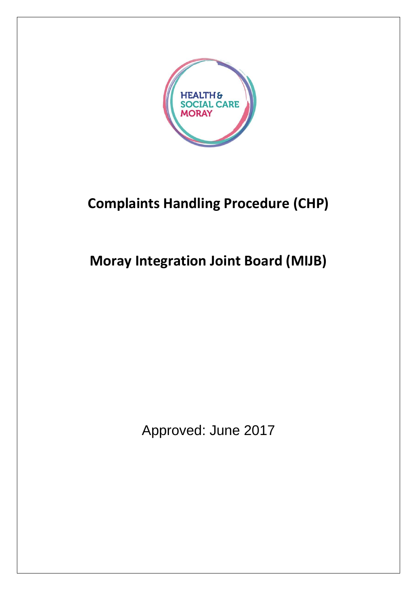

# **Complaints Handling Procedure (CHP)**

# **Moray Integration Joint Board (MIJB)**

Approved: June 2017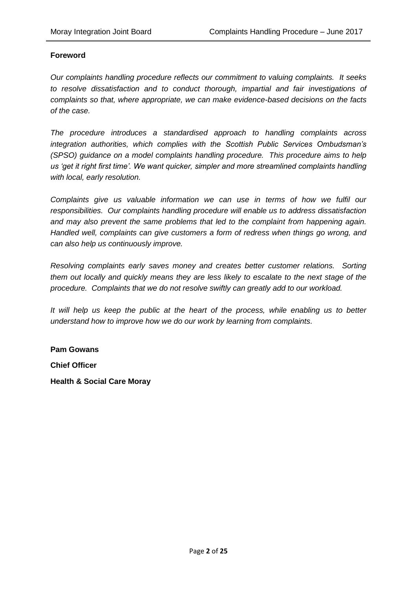#### **Foreword**

*Our complaints handling procedure reflects our commitment to valuing complaints. It seeks to resolve dissatisfaction and to conduct thorough, impartial and fair investigations of complaints so that, where appropriate, we can make evidence-based decisions on the facts of the case.*

*The procedure introduces a standardised approach to handling complaints across integration authorities, which complies with the Scottish Public Services Ombudsman's (SPSO) guidance on a model complaints handling procedure. This procedure aims to help us 'get it right first time'. We want quicker, simpler and more streamlined complaints handling with local, early resolution.*

*Complaints give us valuable information we can use in terms of how we fulfil our responsibilities. Our complaints handling procedure will enable us to address dissatisfaction and may also prevent the same problems that led to the complaint from happening again. Handled well, complaints can give customers a form of redress when things go wrong, and can also help us continuously improve.*

*Resolving complaints early saves money and creates better customer relations. Sorting them out locally and quickly means they are less likely to escalate to the next stage of the procedure. Complaints that we do not resolve swiftly can greatly add to our workload.*

*It will help us keep the public at the heart of the process, while enabling us to better understand how to improve how we do our work by learning from complaints.*

**Pam Gowans Chief Officer**

**Health & Social Care Moray**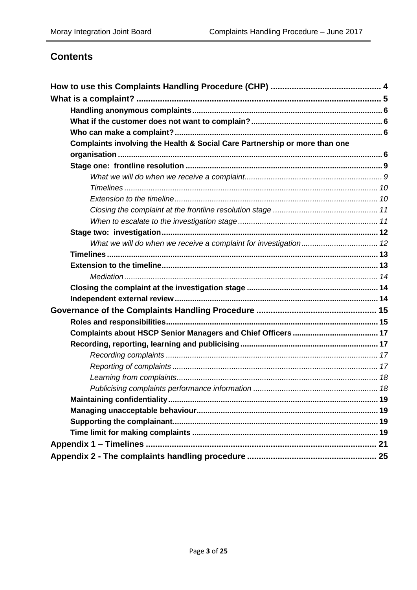# **Contents**

| Complaints involving the Health & Social Care Partnership or more than one |  |
|----------------------------------------------------------------------------|--|
|                                                                            |  |
|                                                                            |  |
|                                                                            |  |
|                                                                            |  |
|                                                                            |  |
|                                                                            |  |
|                                                                            |  |
|                                                                            |  |
|                                                                            |  |
|                                                                            |  |
|                                                                            |  |
|                                                                            |  |
|                                                                            |  |
|                                                                            |  |
|                                                                            |  |
|                                                                            |  |
|                                                                            |  |
|                                                                            |  |
|                                                                            |  |
|                                                                            |  |
|                                                                            |  |
|                                                                            |  |
|                                                                            |  |
|                                                                            |  |
|                                                                            |  |
|                                                                            |  |
|                                                                            |  |
|                                                                            |  |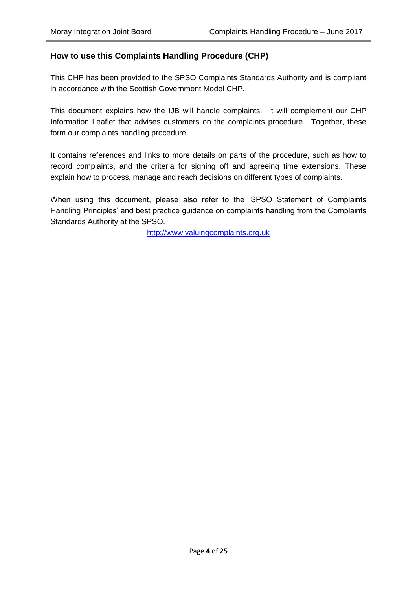# <span id="page-3-0"></span>**How to use this Complaints Handling Procedure (CHP)**

This CHP has been provided to the SPSO Complaints Standards Authority and is compliant in accordance with the Scottish Government Model CHP.

This document explains how the IJB will handle complaints. It will complement our CHP Information Leaflet that advises customers on the complaints procedure. Together, these form our complaints handling procedure.

It contains references and links to more details on parts of the procedure, such as how to record complaints, and the criteria for signing off and agreeing time extensions. These explain how to process, manage and reach decisions on different types of complaints.

When using this document, please also refer to the 'SPSO Statement of Complaints Handling Principles' and best practice guidance on complaints handling from the Complaints Standards Authority at the SPSO.

[http://www.valuingcomplaints.org.uk](http://www.valuingcomplaints.org.uk/)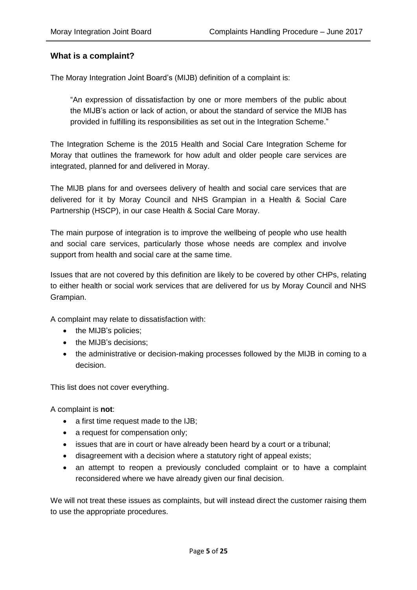## <span id="page-4-0"></span>**What is a complaint?**

The Moray Integration Joint Board's (MIJB) definition of a complaint is:

"An expression of dissatisfaction by one or more members of the public about the MIJB's action or lack of action, or about the standard of service the MIJB has provided in fulfilling its responsibilities as set out in the Integration Scheme."

The Integration Scheme is the 2015 Health and Social Care Integration Scheme for Moray that outlines the framework for how adult and older people care services are integrated, planned for and delivered in Moray.

The MIJB plans for and oversees delivery of health and social care services that are delivered for it by Moray Council and NHS Grampian in a Health & Social Care Partnership (HSCP), in our case Health & Social Care Moray.

The main purpose of integration is to improve the wellbeing of people who use health and social care services, particularly those whose needs are complex and involve support from health and social care at the same time.

Issues that are not covered by this definition are likely to be covered by other CHPs, relating to either health or social work services that are delivered for us by Moray Council and NHS Grampian.

A complaint may relate to dissatisfaction with:

- the MIJB's policies;
- the MIJB's decisions;
- the administrative or decision-making processes followed by the MIJB in coming to a decision.

This list does not cover everything.

A complaint is **not**:

- a first time request made to the IJB:
- a request for compensation only;
- issues that are in court or have already been heard by a court or a tribunal;
- disagreement with a decision where a statutory right of appeal exists;
- an attempt to reopen a previously concluded complaint or to have a complaint reconsidered where we have already given our final decision.

We will not treat these issues as complaints, but will instead direct the customer raising them to use the appropriate procedures.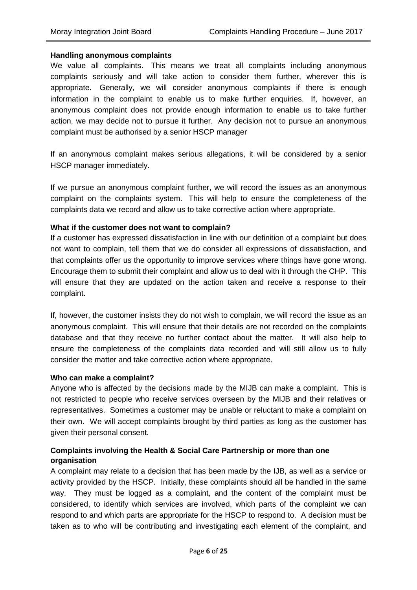#### <span id="page-5-0"></span>**Handling anonymous complaints**

We value all complaints. This means we treat all complaints including anonymous complaints seriously and will take action to consider them further, wherever this is appropriate. Generally, we will consider anonymous complaints if there is enough information in the complaint to enable us to make further enquiries. If, however, an anonymous complaint does not provide enough information to enable us to take further action, we may decide not to pursue it further. Any decision not to pursue an anonymous complaint must be authorised by a senior HSCP manager

If an anonymous complaint makes serious allegations, it will be considered by a senior HSCP manager immediately.

If we pursue an anonymous complaint further, we will record the issues as an anonymous complaint on the complaints system. This will help to ensure the completeness of the complaints data we record and allow us to take corrective action where appropriate.

#### <span id="page-5-1"></span>**What if the customer does not want to complain?**

If a customer has expressed dissatisfaction in line with our definition of a complaint but does not want to complain, tell them that we do consider all expressions of dissatisfaction, and that complaints offer us the opportunity to improve services where things have gone wrong. Encourage them to submit their complaint and allow us to deal with it through the CHP. This will ensure that they are updated on the action taken and receive a response to their complaint.

If, however, the customer insists they do not wish to complain, we will record the issue as an anonymous complaint. This will ensure that their details are not recorded on the complaints database and that they receive no further contact about the matter. It will also help to ensure the completeness of the complaints data recorded and will still allow us to fully consider the matter and take corrective action where appropriate.

#### <span id="page-5-2"></span>**Who can make a complaint?**

Anyone who is affected by the decisions made by the MIJB can make a complaint. This is not restricted to people who receive services overseen by the MIJB and their relatives or representatives. Sometimes a customer may be unable or reluctant to make a complaint on their own. We will accept complaints brought by third parties as long as the customer has given their personal consent.

## <span id="page-5-3"></span>**Complaints involving the Health & Social Care Partnership or more than one organisation**

A complaint may relate to a decision that has been made by the IJB, as well as a service or activity provided by the HSCP. Initially, these complaints should all be handled in the same way. They must be logged as a complaint, and the content of the complaint must be considered, to identify which services are involved, which parts of the complaint we can respond to and which parts are appropriate for the HSCP to respond to. A decision must be taken as to who will be contributing and investigating each element of the complaint, and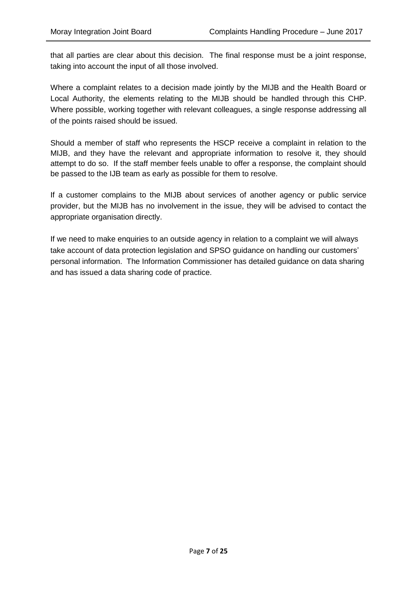that all parties are clear about this decision. The final response must be a joint response, taking into account the input of all those involved.

Where a complaint relates to a decision made jointly by the MIJB and the Health Board or Local Authority, the elements relating to the MIJB should be handled through this CHP. Where possible, working together with relevant colleagues, a single response addressing all of the points raised should be issued.

Should a member of staff who represents the HSCP receive a complaint in relation to the MIJB, and they have the relevant and appropriate information to resolve it, they should attempt to do so. If the staff member feels unable to offer a response, the complaint should be passed to the IJB team as early as possible for them to resolve.

If a customer complains to the MIJB about services of another agency or public service provider, but the MIJB has no involvement in the issue, they will be advised to contact the appropriate organisation directly.

If we need to make enquiries to an outside agency in relation to a complaint we will always take account of data protection legislation and SPSO guidance on handling our customers' personal information. The Information Commissioner has detailed guidance on data sharing and has issued a data sharing code of practice.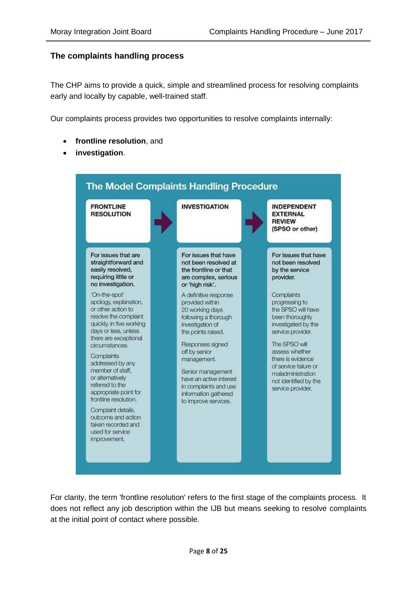#### **The complaints handling process**

The CHP aims to provide a quick, simple and streamlined process for resolving complaints early and locally by capable, well-trained staff.

Our complaints process provides two opportunities to resolve complaints internally:

- **frontline resolution**, and
- **investigation**.



For clarity, the term 'frontline resolution' refers to the first stage of the complaints process. It does not reflect any job description within the IJB but means seeking to resolve complaints at the initial point of contact where possible.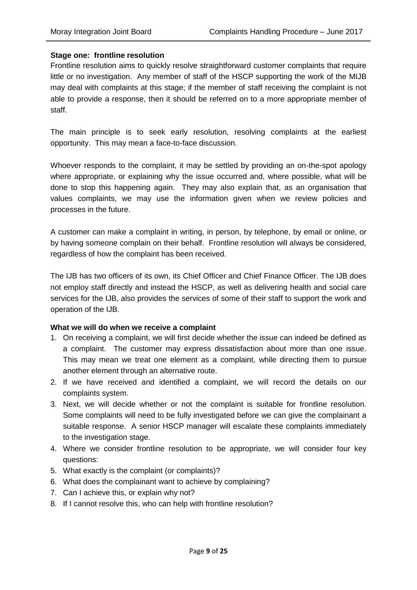#### <span id="page-8-0"></span>**Stage one: frontline resolution**

Frontline resolution aims to quickly resolve straightforward customer complaints that require little or no investigation. Any member of staff of the HSCP supporting the work of the MIJB may deal with complaints at this stage; if the member of staff receiving the complaint is not able to provide a response, then it should be referred on to a more appropriate member of staff.

The main principle is to seek early resolution, resolving complaints at the earliest opportunity. This may mean a face-to-face discussion.

Whoever responds to the complaint, it may be settled by providing an on-the-spot apology where appropriate, or explaining why the issue occurred and, where possible, what will be done to stop this happening again. They may also explain that, as an organisation that values complaints, we may use the information given when we review policies and processes in the future.

A customer can make a complaint in writing, in person, by telephone, by email or online, or by having someone complain on their behalf. Frontline resolution will always be considered, regardless of how the complaint has been received.

The IJB has two officers of its own, its Chief Officer and Chief Finance Officer. The IJB does not employ staff directly and instead the HSCP, as well as delivering health and social care services for the IJB, also provides the services of some of their staff to support the work and operation of the IJB.

#### <span id="page-8-1"></span>**What we will do when we receive a complaint**

- 1. On receiving a complaint, we will first decide whether the issue can indeed be defined as a complaint. The customer may express dissatisfaction about more than one issue. This may mean we treat one element as a complaint, while directing them to pursue another element through an alternative route.
- 2. If we have received and identified a complaint, we will record the details on our complaints system.
- 3. Next, we will decide whether or not the complaint is suitable for frontline resolution. Some complaints will need to be fully investigated before we can give the complainant a suitable response. A senior HSCP manager will escalate these complaints immediately to the investigation stage.
- 4. Where we consider frontline resolution to be appropriate, we will consider four key questions:
- 5. What exactly is the complaint (or complaints)?
- 6. What does the complainant want to achieve by complaining?
- 7. Can I achieve this, or explain why not?
- 8. If I cannot resolve this, who can help with frontline resolution?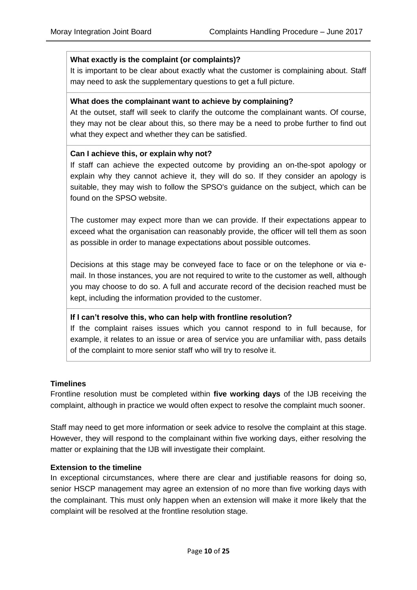#### **What exactly is the complaint (or complaints)?**

It is important to be clear about exactly what the customer is complaining about. Staff may need to ask the supplementary questions to get a full picture.

#### **What does the complainant want to achieve by complaining?**

At the outset, staff will seek to clarify the outcome the complainant wants. Of course, they may not be clear about this, so there may be a need to probe further to find out what they expect and whether they can be satisfied.

#### **Can I achieve this, or explain why not?**

If staff can achieve the expected outcome by providing an on-the-spot apology or explain why they cannot achieve it, they will do so. If they consider an apology is suitable, they may wish to follow the SPSO's guidance on the subject, which can be found on the SPSO website.

The customer may expect more than we can provide. If their expectations appear to exceed what the organisation can reasonably provide, the officer will tell them as soon as possible in order to manage expectations about possible outcomes.

Decisions at this stage may be conveyed face to face or on the telephone or via email. In those instances, you are not required to write to the customer as well, although you may choose to do so. A full and accurate record of the decision reached must be kept, including the information provided to the customer.

#### **If I can't resolve this, who can help with frontline resolution?**

If the complaint raises issues which you cannot respond to in full because, for example, it relates to an issue or area of service you are unfamiliar with, pass details of the complaint to more senior staff who will try to resolve it.

#### <span id="page-9-0"></span>**Timelines**

Frontline resolution must be completed within **five working days** of the IJB receiving the complaint, although in practice we would often expect to resolve the complaint much sooner.

Staff may need to get more information or seek advice to resolve the complaint at this stage. However, they will respond to the complainant within five working days, either resolving the matter or explaining that the IJB will investigate their complaint.

#### <span id="page-9-1"></span>**Extension to the timeline**

In exceptional circumstances, where there are clear and justifiable reasons for doing so, senior HSCP management may agree an extension of no more than five working days with the complainant. This must only happen when an extension will make it more likely that the complaint will be resolved at the frontline resolution stage.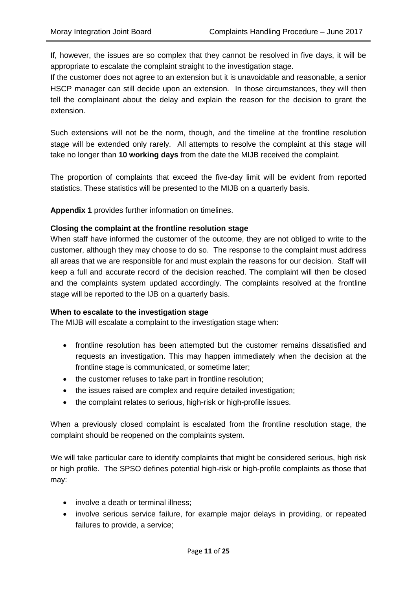If, however, the issues are so complex that they cannot be resolved in five days, it will be appropriate to escalate the complaint straight to the investigation stage.

If the customer does not agree to an extension but it is unavoidable and reasonable, a senior HSCP manager can still decide upon an extension. In those circumstances, they will then tell the complainant about the delay and explain the reason for the decision to grant the extension.

Such extensions will not be the norm, though, and the timeline at the frontline resolution stage will be extended only rarely. All attempts to resolve the complaint at this stage will take no longer than **10 working days** from the date the MIJB received the complaint.

The proportion of complaints that exceed the five-day limit will be evident from reported statistics. These statistics will be presented to the MIJB on a quarterly basis.

**Appendix 1** provides further information on timelines.

#### <span id="page-10-0"></span>**Closing the complaint at the frontline resolution stage**

When staff have informed the customer of the outcome, they are not obliged to write to the customer, although they may choose to do so. The response to the complaint must address all areas that we are responsible for and must explain the reasons for our decision. Staff will keep a full and accurate record of the decision reached. The complaint will then be closed and the complaints system updated accordingly. The complaints resolved at the frontline stage will be reported to the IJB on a quarterly basis.

#### <span id="page-10-1"></span>**When to escalate to the investigation stage**

The MIJB will escalate a complaint to the investigation stage when:

- frontline resolution has been attempted but the customer remains dissatisfied and requests an investigation. This may happen immediately when the decision at the frontline stage is communicated, or sometime later;
- the customer refuses to take part in frontline resolution;
- the issues raised are complex and require detailed investigation;
- the complaint relates to serious, high-risk or high-profile issues.

When a previously closed complaint is escalated from the frontline resolution stage, the complaint should be reopened on the complaints system.

We will take particular care to identify complaints that might be considered serious, high risk or high profile. The SPSO defines potential high-risk or high-profile complaints as those that may:

- involve a death or terminal illness:
- involve serious service failure, for example major delays in providing, or repeated failures to provide, a service;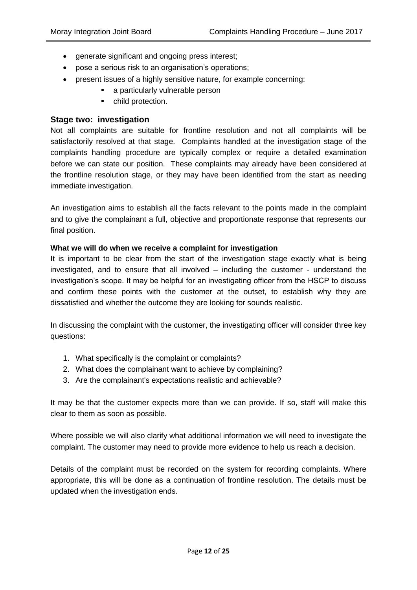- generate significant and ongoing press interest;
- pose a serious risk to an organisation's operations;
- present issues of a highly sensitive nature, for example concerning:
	- **a** a particularly vulnerable person
	- child protection.

#### <span id="page-11-0"></span>**Stage two: investigation**

Not all complaints are suitable for frontline resolution and not all complaints will be satisfactorily resolved at that stage. Complaints handled at the investigation stage of the complaints handling procedure are typically complex or require a detailed examination before we can state our position. These complaints may already have been considered at the frontline resolution stage, or they may have been identified from the start as needing immediate investigation.

An investigation aims to establish all the facts relevant to the points made in the complaint and to give the complainant a full, objective and proportionate response that represents our final position.

#### <span id="page-11-1"></span>**What we will do when we receive a complaint for investigation**

It is important to be clear from the start of the investigation stage exactly what is being investigated, and to ensure that all involved – including the customer - understand the investigation's scope. It may be helpful for an investigating officer from the HSCP to discuss and confirm these points with the customer at the outset, to establish why they are dissatisfied and whether the outcome they are looking for sounds realistic.

In discussing the complaint with the customer, the investigating officer will consider three key questions:

- 1. What specifically is the complaint or complaints?
- 2. What does the complainant want to achieve by complaining?
- 3. Are the complainant's expectations realistic and achievable?

It may be that the customer expects more than we can provide. If so, staff will make this clear to them as soon as possible.

Where possible we will also clarify what additional information we will need to investigate the complaint. The customer may need to provide more evidence to help us reach a decision.

Details of the complaint must be recorded on the system for recording complaints. Where appropriate, this will be done as a continuation of frontline resolution. The details must be updated when the investigation ends.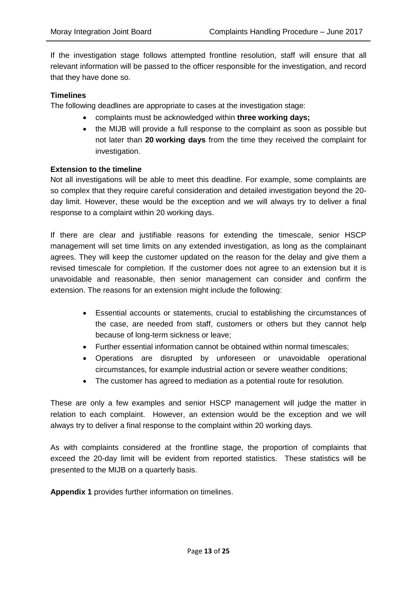If the investigation stage follows attempted frontline resolution, staff will ensure that all relevant information will be passed to the officer responsible for the investigation, and record that they have done so.

#### <span id="page-12-0"></span>**Timelines**

The following deadlines are appropriate to cases at the investigation stage:

- complaints must be acknowledged within **three working days;**
- the MIJB will provide a full response to the complaint as soon as possible but not later than **20 working days** from the time they received the complaint for investigation.

#### <span id="page-12-1"></span>**Extension to the timeline**

Not all investigations will be able to meet this deadline. For example, some complaints are so complex that they require careful consideration and detailed investigation beyond the 20 day limit. However, these would be the exception and we will always try to deliver a final response to a complaint within 20 working days.

If there are clear and justifiable reasons for extending the timescale, senior HSCP management will set time limits on any extended investigation, as long as the complainant agrees. They will keep the customer updated on the reason for the delay and give them a revised timescale for completion. If the customer does not agree to an extension but it is unavoidable and reasonable, then senior management can consider and confirm the extension. The reasons for an extension might include the following:

- Essential accounts or statements, crucial to establishing the circumstances of the case, are needed from staff, customers or others but they cannot help because of long-term sickness or leave;
- Further essential information cannot be obtained within normal timescales;
- Operations are disrupted by unforeseen or unavoidable operational circumstances, for example industrial action or severe weather conditions;
- The customer has agreed to mediation as a potential route for resolution.

These are only a few examples and senior HSCP management will judge the matter in relation to each complaint. However, an extension would be the exception and we will always try to deliver a final response to the complaint within 20 working days.

As with complaints considered at the frontline stage, the proportion of complaints that exceed the 20-day limit will be evident from reported statistics. These statistics will be presented to the MIJB on a quarterly basis.

**Appendix 1** provides further information on timelines.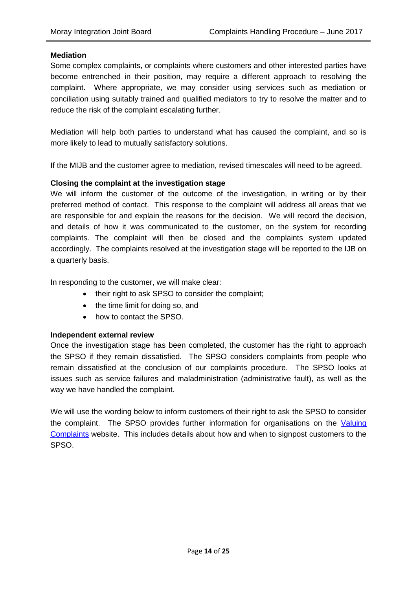#### <span id="page-13-0"></span>**Mediation**

Some complex complaints, or complaints where customers and other interested parties have become entrenched in their position, may require a different approach to resolving the complaint. Where appropriate, we may consider using services such as mediation or conciliation using suitably trained and qualified mediators to try to resolve the matter and to reduce the risk of the complaint escalating further.

Mediation will help both parties to understand what has caused the complaint, and so is more likely to lead to mutually satisfactory solutions.

If the MIJB and the customer agree to mediation, revised timescales will need to be agreed.

#### <span id="page-13-1"></span>**Closing the complaint at the investigation stage**

We will inform the customer of the outcome of the investigation, in writing or by their preferred method of contact. This response to the complaint will address all areas that we are responsible for and explain the reasons for the decision. We will record the decision, and details of how it was communicated to the customer, on the system for recording complaints. The complaint will then be closed and the complaints system updated accordingly. The complaints resolved at the investigation stage will be reported to the IJB on a quarterly basis.

In responding to the customer, we will make clear:

- their right to ask SPSO to consider the complaint;
- the time limit for doing so, and
- how to contact the SPSO.

#### <span id="page-13-2"></span>**Independent external review**

Once the investigation stage has been completed, the customer has the right to approach the SPSO if they remain dissatisfied. The SPSO considers complaints from people who remain dissatisfied at the conclusion of our complaints procedure. The SPSO looks at issues such as service failures and maladministration (administrative fault), as well as the way we have handled the complaint.

We will use the wording below to inform customers of their right to ask the SPSO to consider the complaint. The SPSO provides further information for organisations on the [Valuing](http://www.valuingcomplaints.org.uk/)  [Complaints](http://www.valuingcomplaints.org.uk/) website. This includes details about how and when to signpost customers to the SPSO.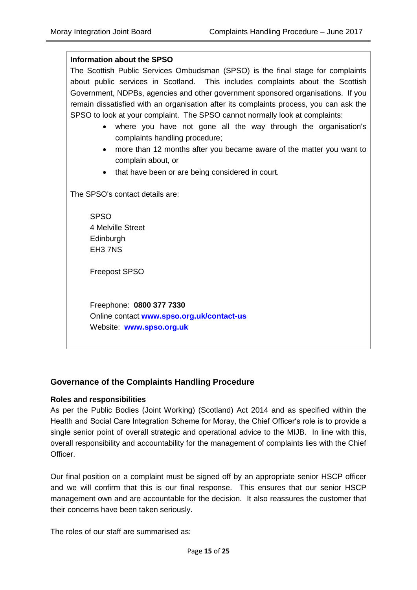| <b>Information about the SPSO</b>                                                      |  |  |  |  |  |  |
|----------------------------------------------------------------------------------------|--|--|--|--|--|--|
| The Scottish Public Services Ombudsman (SPSO) is the final stage for complaints        |  |  |  |  |  |  |
| about public services in Scotland. This includes complaints about the Scottish         |  |  |  |  |  |  |
| Government, NDPBs, agencies and other government sponsored organisations. If you       |  |  |  |  |  |  |
| remain dissatisfied with an organisation after its complaints process, you can ask the |  |  |  |  |  |  |
| SPSO to look at your complaint. The SPSO cannot normally look at complaints:           |  |  |  |  |  |  |
| where you have not gone all the way through the organisation's                         |  |  |  |  |  |  |
| complaints handling procedure;                                                         |  |  |  |  |  |  |
| more than 12 months after you became aware of the matter you want to<br>$\bullet$      |  |  |  |  |  |  |
| complain about, or                                                                     |  |  |  |  |  |  |
| that have been or are being considered in court.                                       |  |  |  |  |  |  |
|                                                                                        |  |  |  |  |  |  |
| The SPSO's contact details are:                                                        |  |  |  |  |  |  |
| <b>SPSO</b>                                                                            |  |  |  |  |  |  |
| 4 Melville Street                                                                      |  |  |  |  |  |  |
| Edinburgh                                                                              |  |  |  |  |  |  |
| EH37NS                                                                                 |  |  |  |  |  |  |
|                                                                                        |  |  |  |  |  |  |
| <b>Freepost SPSO</b>                                                                   |  |  |  |  |  |  |
|                                                                                        |  |  |  |  |  |  |
|                                                                                        |  |  |  |  |  |  |
| Freephone: 0800 377 7330                                                               |  |  |  |  |  |  |
| Online contact www.spso.org.uk/contact-us                                              |  |  |  |  |  |  |
| Website: www.spso.org.uk                                                               |  |  |  |  |  |  |

## <span id="page-14-0"></span>**Governance of the Complaints Handling Procedure**

#### <span id="page-14-1"></span>**Roles and responsibilities**

As per the Public Bodies (Joint Working) (Scotland) Act 2014 and as specified within the Health and Social Care Integration Scheme for Moray, the Chief Officer's role is to provide a single senior point of overall strategic and operational advice to the MIJB. In line with this, overall responsibility and accountability for the management of complaints lies with the Chief Officer.

Our final position on a complaint must be signed off by an appropriate senior HSCP officer and we will confirm that this is our final response. This ensures that our senior HSCP management own and are accountable for the decision. It also reassures the customer that their concerns have been taken seriously.

The roles of our staff are summarised as: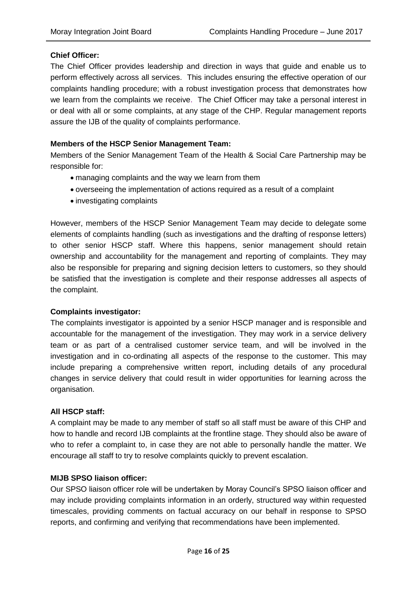#### **Chief Officer:**

The Chief Officer provides leadership and direction in ways that guide and enable us to perform effectively across all services. This includes ensuring the effective operation of our complaints handling procedure; with a robust investigation process that demonstrates how we learn from the complaints we receive. The Chief Officer may take a personal interest in or deal with all or some complaints, at any stage of the CHP. Regular management reports assure the IJB of the quality of complaints performance.

#### **Members of the HSCP Senior Management Team:**

Members of the Senior Management Team of the Health & Social Care Partnership may be responsible for:

- managing complaints and the way we learn from them
- overseeing the implementation of actions required as a result of a complaint
- investigating complaints

However, members of the HSCP Senior Management Team may decide to delegate some elements of complaints handling (such as investigations and the drafting of response letters) to other senior HSCP staff. Where this happens, senior management should retain ownership and accountability for the management and reporting of complaints. They may also be responsible for preparing and signing decision letters to customers, so they should be satisfied that the investigation is complete and their response addresses all aspects of the complaint.

#### **Complaints investigator:**

The complaints investigator is appointed by a senior HSCP manager and is responsible and accountable for the management of the investigation. They may work in a service delivery team or as part of a centralised customer service team, and will be involved in the investigation and in co-ordinating all aspects of the response to the customer. This may include preparing a comprehensive written report, including details of any procedural changes in service delivery that could result in wider opportunities for learning across the organisation.

#### **All HSCP staff:**

A complaint may be made to any member of staff so all staff must be aware of this CHP and how to handle and record IJB complaints at the frontline stage. They should also be aware of who to refer a complaint to, in case they are not able to personally handle the matter. We encourage all staff to try to resolve complaints quickly to prevent escalation.

#### **MIJB SPSO liaison officer:**

Our SPSO liaison officer role will be undertaken by Moray Council's SPSO liaison officer and may include providing complaints information in an orderly, structured way within requested timescales, providing comments on factual accuracy on our behalf in response to SPSO reports, and confirming and verifying that recommendations have been implemented.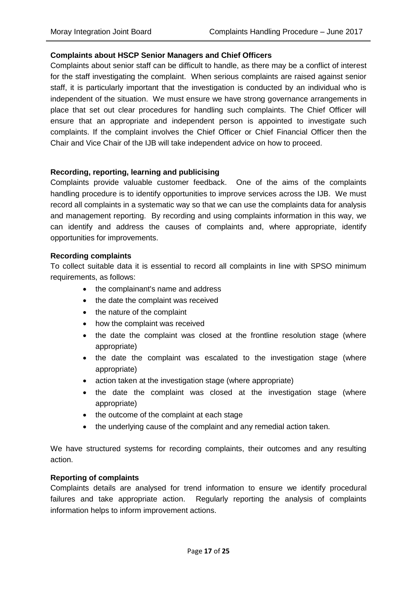#### <span id="page-16-0"></span>**Complaints about HSCP Senior Managers and Chief Officers**

Complaints about senior staff can be difficult to handle, as there may be a conflict of interest for the staff investigating the complaint. When serious complaints are raised against senior staff, it is particularly important that the investigation is conducted by an individual who is independent of the situation. We must ensure we have strong governance arrangements in place that set out clear procedures for handling such complaints. The Chief Officer will ensure that an appropriate and independent person is appointed to investigate such complaints. If the complaint involves the Chief Officer or Chief Financial Officer then the Chair and Vice Chair of the IJB will take independent advice on how to proceed.

#### <span id="page-16-1"></span>**Recording, reporting, learning and publicising**

Complaints provide valuable customer feedback. One of the aims of the complaints handling procedure is to identify opportunities to improve services across the IJB. We must record all complaints in a systematic way so that we can use the complaints data for analysis and management reporting. By recording and using complaints information in this way, we can identify and address the causes of complaints and, where appropriate, identify opportunities for improvements.

#### <span id="page-16-2"></span>**Recording complaints**

To collect suitable data it is essential to record all complaints in line with SPSO minimum requirements, as follows:

- the complainant's name and address
- the date the complaint was received
- the nature of the complaint
- how the complaint was received
- the date the complaint was closed at the frontline resolution stage (where appropriate)
- the date the complaint was escalated to the investigation stage (where appropriate)
- action taken at the investigation stage (where appropriate)
- the date the complaint was closed at the investigation stage (where appropriate)
- the outcome of the complaint at each stage
- the underlying cause of the complaint and any remedial action taken.

We have structured systems for recording complaints, their outcomes and any resulting action.

#### <span id="page-16-3"></span>**Reporting of complaints**

Complaints details are analysed for trend information to ensure we identify procedural failures and take appropriate action. Regularly reporting the analysis of complaints information helps to inform improvement actions.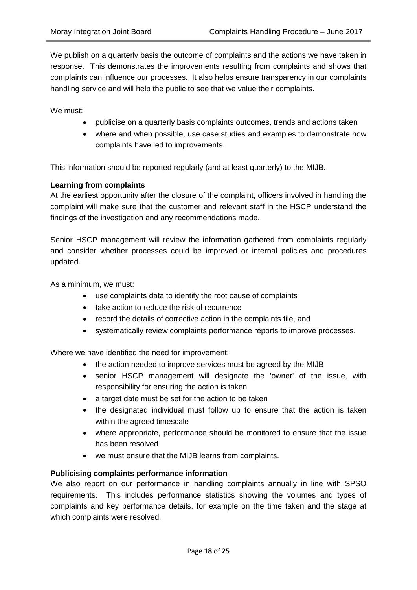We publish on a quarterly basis the outcome of complaints and the actions we have taken in response. This demonstrates the improvements resulting from complaints and shows that complaints can influence our processes. It also helps ensure transparency in our complaints handling service and will help the public to see that we value their complaints.

We must:

- publicise on a quarterly basis complaints outcomes, trends and actions taken
- where and when possible, use case studies and examples to demonstrate how complaints have led to improvements.

This information should be reported regularly (and at least quarterly) to the MIJB.

#### <span id="page-17-0"></span>**Learning from complaints**

At the earliest opportunity after the closure of the complaint, officers involved in handling the complaint will make sure that the customer and relevant staff in the HSCP understand the findings of the investigation and any recommendations made.

Senior HSCP management will review the information gathered from complaints regularly and consider whether processes could be improved or internal policies and procedures updated.

As a minimum, we must:

- use complaints data to identify the root cause of complaints
- take action to reduce the risk of recurrence
- record the details of corrective action in the complaints file, and
- systematically review complaints performance reports to improve processes.

Where we have identified the need for improvement:

- the action needed to improve services must be agreed by the MIJB
- senior HSCP management will designate the 'owner' of the issue, with responsibility for ensuring the action is taken
- a target date must be set for the action to be taken
- the designated individual must follow up to ensure that the action is taken within the agreed timescale
- where appropriate, performance should be monitored to ensure that the issue has been resolved
- we must ensure that the MIJB learns from complaints.

#### <span id="page-17-1"></span>**Publicising complaints performance information**

We also report on our performance in handling complaints annually in line with SPSO requirements. This includes performance statistics showing the volumes and types of complaints and key performance details, for example on the time taken and the stage at which complaints were resolved.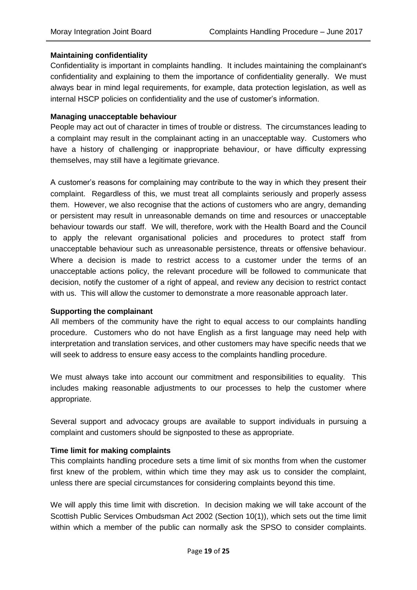#### <span id="page-18-0"></span>**Maintaining confidentiality**

Confidentiality is important in complaints handling. It includes maintaining the complainant's confidentiality and explaining to them the importance of confidentiality generally. We must always bear in mind legal requirements, for example, data protection legislation, as well as internal HSCP policies on confidentiality and the use of customer's information.

#### <span id="page-18-1"></span>**Managing unacceptable behaviour**

People may act out of character in times of trouble or distress. The circumstances leading to a complaint may result in the complainant acting in an unacceptable way. Customers who have a history of challenging or inappropriate behaviour, or have difficulty expressing themselves, may still have a legitimate grievance.

A customer's reasons for complaining may contribute to the way in which they present their complaint. Regardless of this, we must treat all complaints seriously and properly assess them. However, we also recognise that the actions of customers who are angry, demanding or persistent may result in unreasonable demands on time and resources or unacceptable behaviour towards our staff. We will, therefore, work with the Health Board and the Council to apply the relevant organisational policies and procedures to protect staff from unacceptable behaviour such as unreasonable persistence, threats or offensive behaviour. Where a decision is made to restrict access to a customer under the terms of an unacceptable actions policy, the relevant procedure will be followed to communicate that decision, notify the customer of a right of appeal, and review any decision to restrict contact with us. This will allow the customer to demonstrate a more reasonable approach later.

#### <span id="page-18-2"></span>**Supporting the complainant**

All members of the community have the right to equal access to our complaints handling procedure. Customers who do not have English as a first language may need help with interpretation and translation services, and other customers may have specific needs that we will seek to address to ensure easy access to the complaints handling procedure.

We must always take into account our commitment and responsibilities to equality. This includes making reasonable adjustments to our processes to help the customer where appropriate.

Several support and advocacy groups are available to support individuals in pursuing a complaint and customers should be signposted to these as appropriate.

#### <span id="page-18-3"></span>**Time limit for making complaints**

This complaints handling procedure sets a time limit of six months from when the customer first knew of the problem, within which time they may ask us to consider the complaint, unless there are special circumstances for considering complaints beyond this time.

We will apply this time limit with discretion. In decision making we will take account of the Scottish Public Services Ombudsman Act 2002 (Section 10(1)), which sets out the time limit within which a member of the public can normally ask the SPSO to consider complaints.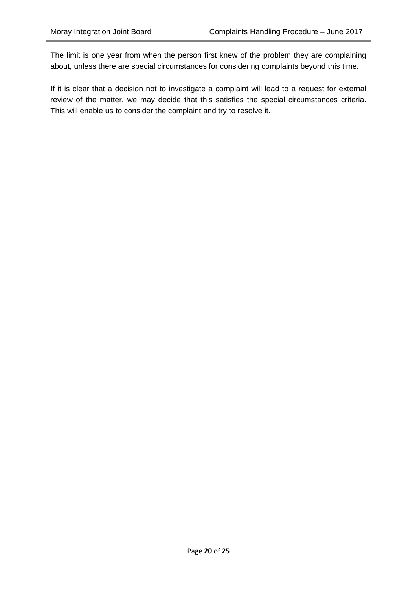The limit is one year from when the person first knew of the problem they are complaining about, unless there are special circumstances for considering complaints beyond this time.

If it is clear that a decision not to investigate a complaint will lead to a request for external review of the matter, we may decide that this satisfies the special circumstances criteria. This will enable us to consider the complaint and try to resolve it.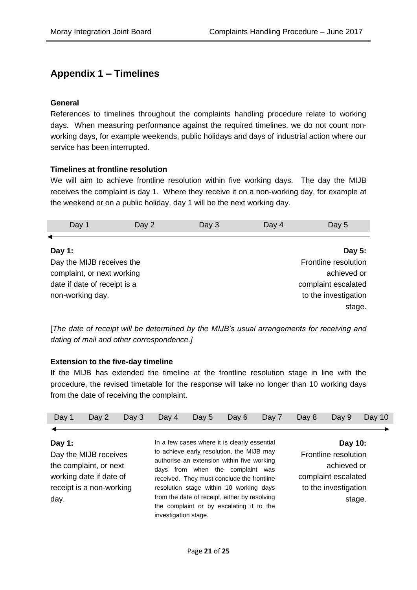# <span id="page-20-0"></span>**Appendix 1 – Timelines**

#### **General**

References to timelines throughout the complaints handling procedure relate to working days. When measuring performance against the required timelines, we do not count nonworking days, for example weekends, public holidays and days of industrial action where our service has been interrupted.

#### **Timelines at frontline resolution**

We will aim to achieve frontline resolution within five working days. The day the MIJB receives the complaint is day 1. Where they receive it on a non-working day, for example at the weekend or on a public holiday, day 1 will be the next working day.

| Day 1                        | Day 2                     | Day 3 | Day 4 | Day 5                |
|------------------------------|---------------------------|-------|-------|----------------------|
|                              |                           |       |       |                      |
| Day 1:                       |                           |       |       | Day 5:               |
|                              | Day the MIJB receives the |       |       | Frontline resolution |
| complaint, or next working   |                           |       |       | achieved or          |
| date if date of receipt is a |                           |       |       | complaint escalated  |
| non-working day.             |                           |       |       | to the investigation |
|                              |                           |       |       | stage.               |

[*The date of receipt will be determined by the MIJB's usual arrangements for receiving and dating of mail and other correspondence.]*

## **Extension to the five-day timeline**

If the MIJB has extended the timeline at the frontline resolution stage in line with the procedure, the revised timetable for the response will take no longer than 10 working days from the date of receiving the complaint.

| Day 1          | Day 2                                                                                                  | Day $3$ | Day 4                | Day 5 | Day 6                                                                                                                                                                                                                                                                                                                                                             | Day 7 | Day 8 | Day 9                                                                                                   | Day 10 |
|----------------|--------------------------------------------------------------------------------------------------------|---------|----------------------|-------|-------------------------------------------------------------------------------------------------------------------------------------------------------------------------------------------------------------------------------------------------------------------------------------------------------------------------------------------------------------------|-------|-------|---------------------------------------------------------------------------------------------------------|--------|
|                |                                                                                                        |         |                      |       |                                                                                                                                                                                                                                                                                                                                                                   |       |       |                                                                                                         |        |
| Day 1:<br>day. | Day the MIJB receives<br>the complaint, or next<br>working date if date of<br>receipt is a non-working |         | investigation stage. |       | In a few cases where it is clearly essential<br>to achieve early resolution, the MIJB may<br>authorise an extension within five working<br>days from when the complaint was<br>received. They must conclude the frontline<br>resolution stage within 10 working days<br>from the date of receipt, either by resolving<br>the complaint or by escalating it to the |       |       | Day 10:<br>Frontline resolution<br>achieved or<br>complaint escalated<br>to the investigation<br>stage. |        |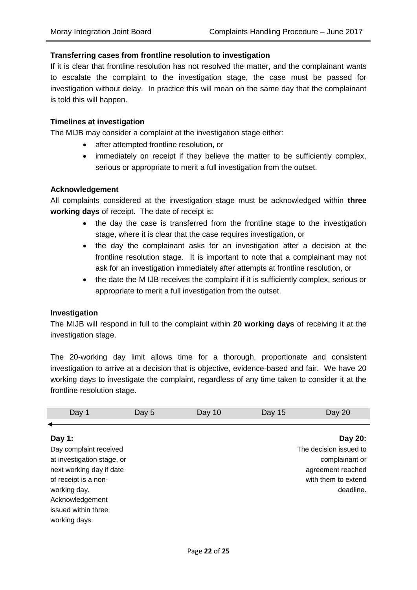#### **Transferring cases from frontline resolution to investigation**

If it is clear that frontline resolution has not resolved the matter, and the complainant wants to escalate the complaint to the investigation stage, the case must be passed for investigation without delay. In practice this will mean on the same day that the complainant is told this will happen.

#### **Timelines at investigation**

The MIJB may consider a complaint at the investigation stage either:

- after attempted frontline resolution, or
- immediately on receipt if they believe the matter to be sufficiently complex, serious or appropriate to merit a full investigation from the outset.

#### **Acknowledgement**

All complaints considered at the investigation stage must be acknowledged within **three working days** of receipt. The date of receipt is:

- the day the case is transferred from the frontline stage to the investigation stage, where it is clear that the case requires investigation, or
- the day the complainant asks for an investigation after a decision at the frontline resolution stage. It is important to note that a complainant may not ask for an investigation immediately after attempts at frontline resolution, or
- the date the M IJB receives the complaint if it is sufficiently complex, serious or appropriate to merit a full investigation from the outset.

#### **Investigation**

The MIJB will respond in full to the complaint within **20 working days** of receiving it at the investigation stage.

The 20-working day limit allows time for a thorough, proportionate and consistent investigation to arrive at a decision that is objective, evidence-based and fair. We have 20 working days to investigate the complaint, regardless of any time taken to consider it at the frontline resolution stage.

| Day 1                      | Day 5 | Day 10 | Day 15 | Day 20                 |
|----------------------------|-------|--------|--------|------------------------|
|                            |       |        |        |                        |
| Day 1:                     |       |        |        | Day 20:                |
| Day complaint received     |       |        |        | The decision issued to |
| at investigation stage, or |       |        |        | complainant or         |
| next working day if date   |       |        |        | agreement reached      |
| of receipt is a non-       |       |        |        | with them to extend    |
| working day.               |       |        |        | deadline.              |
| Acknowledgement            |       |        |        |                        |
| issued within three        |       |        |        |                        |
| working days.              |       |        |        |                        |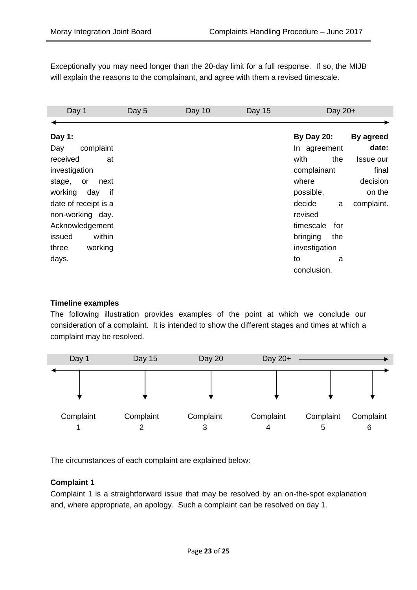Exceptionally you may need longer than the 20-day limit for a full response. If so, the MIJB will explain the reasons to the complainant, and agree with them a revised timescale.

| Day 1                | Day 5 | Day 10 | <b>Day 15</b> | Day 20+           |            |
|----------------------|-------|--------|---------------|-------------------|------------|
|                      |       |        |               |                   |            |
| Day 1:               |       |        |               | <b>By Day 20:</b> | By agreed  |
| complaint<br>Day     |       |        |               | In agreement      | date:      |
| received<br>at       |       |        |               | with<br>the       | Issue our  |
| investigation        |       |        |               | complainant       | final      |
| stage,<br>next<br>or |       |        |               | where             | decision   |
| working<br>if<br>day |       |        |               | possible,         | on the     |
| date of receipt is a |       |        |               | decide<br>a       | complaint. |
| non-working day.     |       |        |               | revised           |            |
| Acknowledgement      |       |        |               | timescale<br>for  |            |
| within<br>issued     |       |        |               | bringing<br>the   |            |
| three<br>working     |       |        |               | investigation     |            |
| days.                |       |        |               | to<br>a           |            |
|                      |       |        |               | conclusion.       |            |

## **Timeline examples**

The following illustration provides examples of the point at which we conclude our consideration of a complaint. It is intended to show the different stages and times at which a complaint may be resolved.



The circumstances of each complaint are explained below:

#### **Complaint 1**

Complaint 1 is a straightforward issue that may be resolved by an on-the-spot explanation and, where appropriate, an apology. Such a complaint can be resolved on day 1.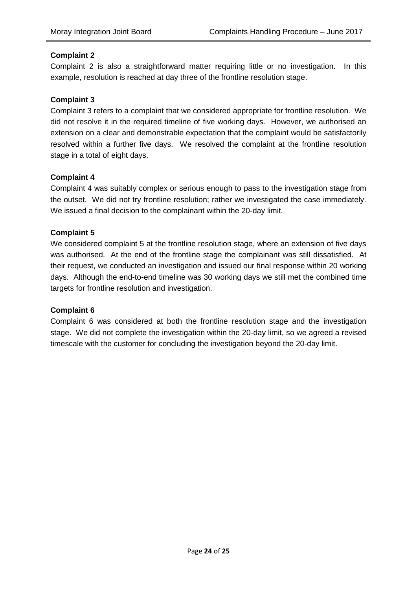#### **Complaint 2**

Complaint 2 is also a straightforward matter requiring little or no investigation. In this example, resolution is reached at day three of the frontline resolution stage.

#### **Complaint 3**

Complaint 3 refers to a complaint that we considered appropriate for frontline resolution. We did not resolve it in the required timeline of five working days. However, we authorised an extension on a clear and demonstrable expectation that the complaint would be satisfactorily resolved within a further five days. We resolved the complaint at the frontline resolution stage in a total of eight days.

#### **Complaint 4**

Complaint 4 was suitably complex or serious enough to pass to the investigation stage from the outset. We did not try frontline resolution; rather we investigated the case immediately. We issued a final decision to the complainant within the 20-day limit.

#### **Complaint 5**

We considered complaint 5 at the frontline resolution stage, where an extension of five days was authorised. At the end of the frontline stage the complainant was still dissatisfied. At their request, we conducted an investigation and issued our final response within 20 working days. Although the end-to-end timeline was 30 working days we still met the combined time targets for frontline resolution and investigation.

#### **Complaint 6**

Complaint 6 was considered at both the frontline resolution stage and the investigation stage. We did not complete the investigation within the 20-day limit, so we agreed a revised timescale with the customer for concluding the investigation beyond the 20-day limit.